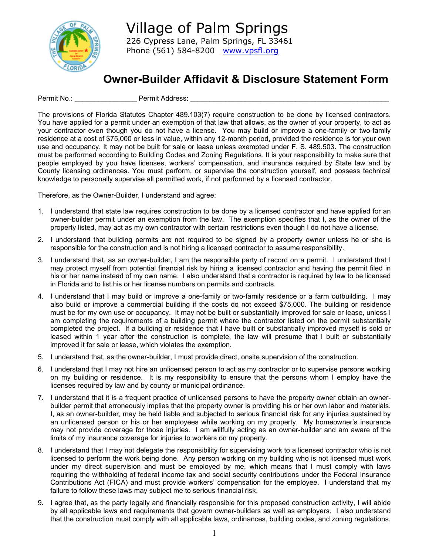

## **Owner-Builder Affidavit & Disclosure Statement Form**

Permit No.: \_\_\_\_\_\_\_\_\_\_\_\_\_\_\_\_\_\_\_\_\_\_\_\_\_ Permit Address: \_\_

The provisions of Florida Statutes Chapter 489.103(7) require construction to be done by licensed contractors. You have applied for a permit under an exemption of that law that allows, as the owner of your property, to act as your contractor even though you do not have a license. You may build or improve a one-family or two-family residence at a cost of \$75,000 or less in value, within any 12-month period, provided the residence is for your own use and occupancy. It may not be built for sale or lease unless exempted under F. S. 489.503. The construction must be performed according to Building Codes and Zoning Regulations. It is your responsibility to make sure that people employed by you have licenses, workers' compensation, and insurance required by State law and by County licensing ordinances. You must perform, or supervise the construction yourself, and possess technical knowledge to personally supervise all permitted work, if not performed by a licensed contractor.

Therefore, as the Owner-Builder, I understand and agree:

- 1. I understand that state law requires construction to be done by a licensed contractor and have applied for an owner-builder permit under an exemption from the law. The exemption specifies that I, as the owner of the property listed, may act as my own contractor with certain restrictions even though I do not have a license.
- 2. I understand that building permits are not required to be signed by a property owner unless he or she is responsible for the construction and is not hiring a licensed contractor to assume responsibility.
- 3. I understand that, as an owner-builder, I am the responsible party of record on a permit. I understand that I may protect myself from potential financial risk by hiring a licensed contractor and having the permit filed in his or her name instead of my own name. I also understand that a contractor is required by law to be licensed in Florida and to list his or her license numbers on permits and contracts.
- 4. I understand that I may build or improve a one-family or two-family residence or a farm outbuilding. I may also build or improve a commercial building if the costs do not exceed \$75,000. The building or residence must be for my own use or occupancy. It may not be built or substantially improved for sale or lease, unless I am completing the requirements of a building permit where the contractor listed on the permit substantially completed the project. If a building or residence that I have built or substantially improved myself is sold or leased within 1 year after the construction is complete, the law will presume that I built or substantially improved it for sale or lease, which violates the exemption.
- 5. I understand that, as the owner-builder, I must provide direct, onsite supervision of the construction.
- 6. I understand that I may not hire an unlicensed person to act as my contractor or to supervise persons working on my building or residence. It is my responsibility to ensure that the persons whom I employ have the licenses required by law and by county or municipal ordinance.
- 7. I understand that it is a frequent practice of unlicensed persons to have the property owner obtain an ownerbuilder permit that erroneously implies that the property owner is providing his or her own labor and materials. I, as an owner-builder, may be held liable and subjected to serious financial risk for any injuries sustained by an unlicensed person or his or her employees while working on my property. My homeowner's insurance may not provide coverage for those injuries. I am willfully acting as an owner-builder and am aware of the limits of my insurance coverage for injuries to workers on my property.
- 8. I understand that I may not delegate the responsibility for supervising work to a licensed contractor who is not licensed to perform the work being done. Any person working on my building who is not licensed must work under my direct supervision and must be employed by me, which means that I must comply with laws requiring the withholding of federal income tax and social security contributions under the Federal Insurance Contributions Act (FICA) and must provide workers' compensation for the employee. I understand that my failure to follow these laws may subject me to serious financial risk.
- 9. I agree that, as the party legally and financially responsible for this proposed construction activity, I will abide by all applicable laws and requirements that govern owner-builders as well as employers. I also understand that the construction must comply with all applicable laws, ordinances, building codes, and zoning regulations.